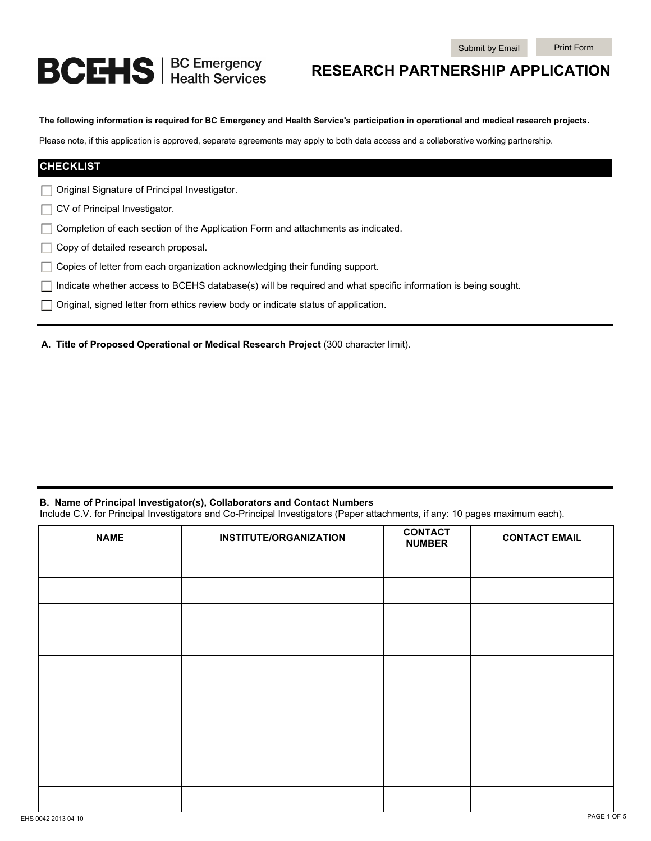# **BCEHS** | BC Emergency

# **RESEARCH PARTNERSHIP APPLICATION**

**The following information is required for BC Emergency and Health Service's participation in operational and medical research projects.** 

Please note, if this application is approved, separate agreements may apply to both data access and a collaborative working partnership.

| <b>CHECKLIST</b>                                                                                                    |  |
|---------------------------------------------------------------------------------------------------------------------|--|
| Original Signature of Principal Investigator.                                                                       |  |
| CV of Principal Investigator.                                                                                       |  |
| $\Box$ Completion of each section of the Application Form and attachments as indicated.                             |  |
| Copy of detailed research proposal.                                                                                 |  |
| $\Box$ Copies of letter from each organization acknowledging their funding support.                                 |  |
| $\Box$ Indicate whether access to BCEHS database(s) will be required and what specific information is being sought. |  |
| $\Box$ Original, signed letter from ethics review body or indicate status of application.                           |  |
|                                                                                                                     |  |

**A. Title of Proposed Operational or Medical Research Project** (300 character limit).

#### **B. Name of Principal Investigator(s), Collaborators and Contact Numbers**

Include C.V. for Principal Investigators and Co-Principal Investigators (Paper attachments, if any: 10 pages maximum each).

| <b>NAME</b> | <b>INSTITUTE/ORGANIZATION</b> | <b>CONTACT</b><br><b>NUMBER</b> | <b>CONTACT EMAIL</b> |
|-------------|-------------------------------|---------------------------------|----------------------|
|             |                               |                                 |                      |
|             |                               |                                 |                      |
|             |                               |                                 |                      |
|             |                               |                                 |                      |
|             |                               |                                 |                      |
|             |                               |                                 |                      |
|             |                               |                                 |                      |
|             |                               |                                 |                      |
|             |                               |                                 |                      |
|             |                               |                                 |                      |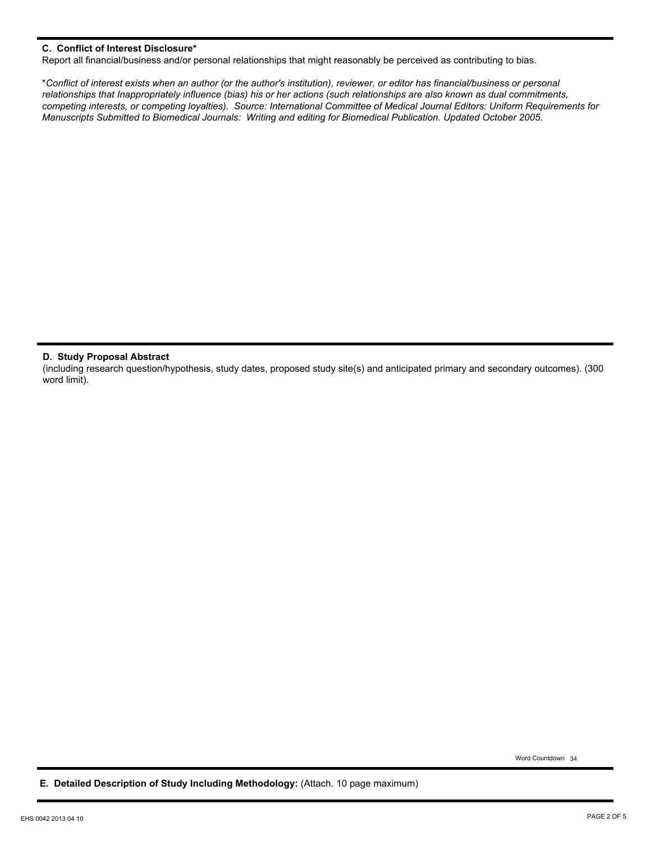## **C. Conflict of Interest Disclosure\***

Report all financial/business and/or personal relationships that might reasonably be perceived as contributing to bias.

\**Conflict of interest exists when an author (or the author's institution), reviewer, or editor has financial/business or personal relationships that Inappropriately influence (bias) his or her actions (such relationships are also known as dual commitments, competing interests, or competing loyalties). Source: International Committee of Medical Journal Editors: Uniform Requirements for Manuscripts Submitted to Biomedical Journals: Writing and editing for Biomedical Publication. Updated October 2005.*

#### **D. Study Proposal Abstract**

(including research question/hypothesis, study dates, proposed study site(s) and anticipated primary and secondary outcomes). (300 word limit).

Word Countdown 34

**E. Detailed Description of Study Including Methodology:** (Attach. 10 page maximum)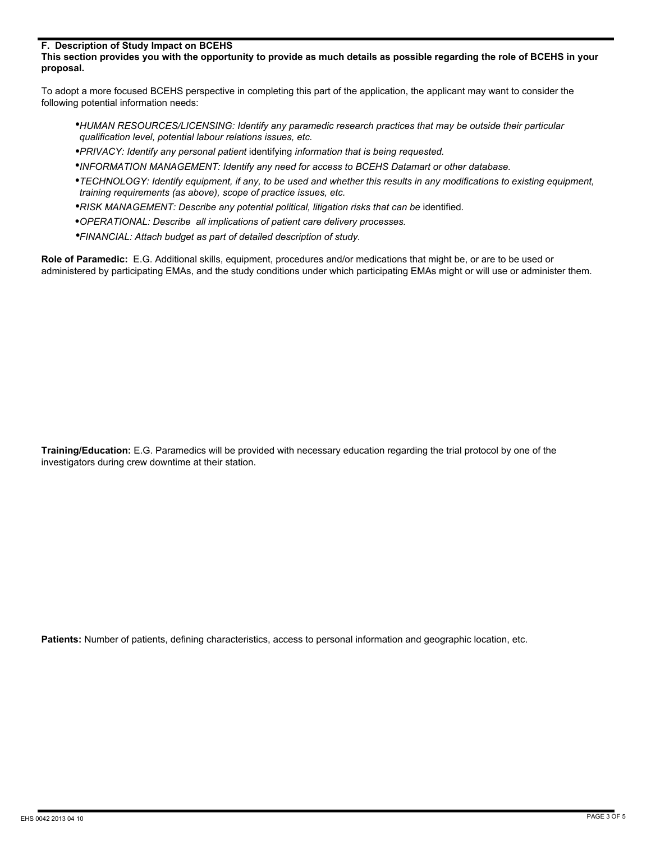#### **F. Description of Study Impact on BCEHS**

**This section provides you with the opportunity to provide as much details as possible regarding the role of BCEHS in your proposal.**

To adopt a more focused BCEHS perspective in completing this part of the application, the applicant may want to consider the following potential information needs:

- *HUMAN RESOURCES/LICENSING: Identify any paramedic research practices that may be outside their particular qualification level, potential labour relations issues, etc.*
- *PRIVACY: Identify any personal patient* identifying *information that is being requested.*  •
- *INFORMATION MANAGEMENT: Identify any need for access to BCEHS Datamart or other database.*  •
- *TECHNOLOGY: Identify equipment, if any, to be used and whether this results in any modifications to existing equipment, training requirements (as above), scope of practice issues, etc.*
- **RISK MANAGEMENT: Describe any potential political, litigation risks that can be identified.**
- *OPERATIONAL: Describe all implications of patient care delivery processes.*  •
- *FINANCIAL: Attach budget as part of detailed description of study.*  •

**Role of Paramedic:** E.G. Additional skills, equipment, procedures and/or medications that might be, or are to be used or administered by participating EMAs, and the study conditions under which participating EMAs might or will use or administer them.

**Training/Education:** E.G. Paramedics will be provided with necessary education regarding the trial protocol by one of the investigators during crew downtime at their station.

**Patients:** Number of patients, defining characteristics, access to personal information and geographic location, etc.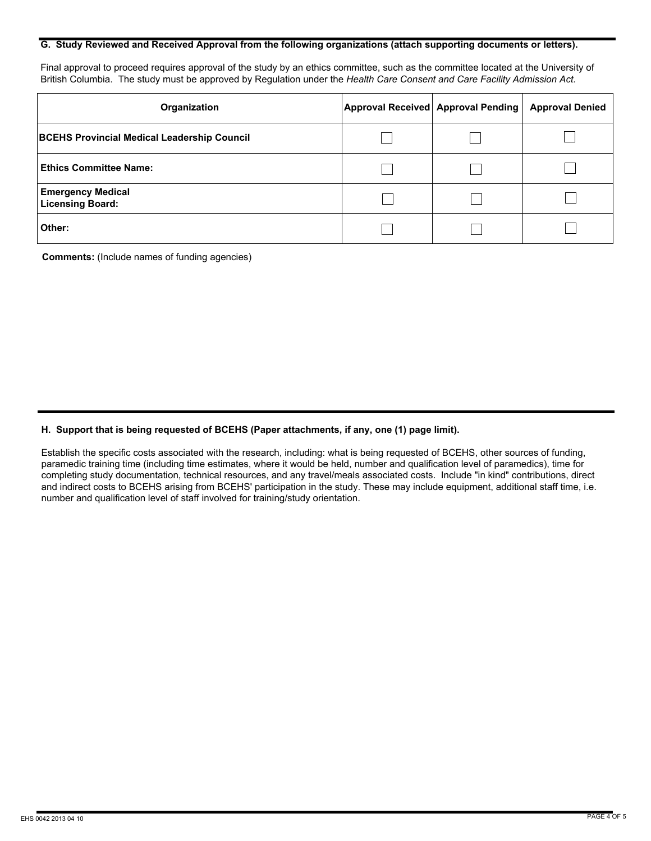#### **G. Study Reviewed and Received Approval from the following organizations (attach supporting documents or letters).**

Final approval to proceed requires approval of the study by an ethics committee, such as the committee located at the University of British Columbia. The study must be approved by Regulation under the *Health Care Consent and Care Facility Admission Act.*

| Organization                                        | Approval Received Approval Pending | <b>Approval Denied</b> |
|-----------------------------------------------------|------------------------------------|------------------------|
| <b>BCEHS Provincial Medical Leadership Council</b>  |                                    |                        |
| Ethics Committee Name: I                            |                                    |                        |
| <b>Emergency Medical</b><br><b>Licensing Board:</b> |                                    |                        |
| Other:                                              |                                    |                        |

**Comments:** (Include names of funding agencies)

### **H. Support that is being requested of BCEHS (Paper attachments, if any, one (1) page limit).**

Establish the specific costs associated with the research, including: what is being requested of BCEHS, other sources of funding, paramedic training time (including time estimates, where it would be held, number and qualification level of paramedics), time for completing study documentation, technical resources, and any travel/meals associated costs. Include "in kind" contributions, direct and indirect costs to BCEHS arising from BCEHS' participation in the study. These may include equipment, additional staff time, i.e. number and qualification level of staff involved for training/study orientation.